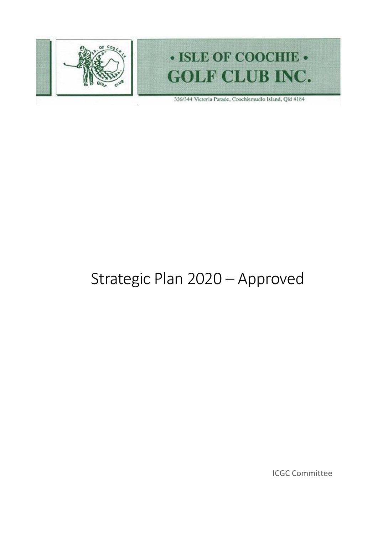

# · ISLE OF COOCHIE · **GOLF CLUB INC.**

326/344 Victoria Parade, Coochiemudlo Island, Qld 4184

# Strategic Plan 2020 – Approved

ICGC Committee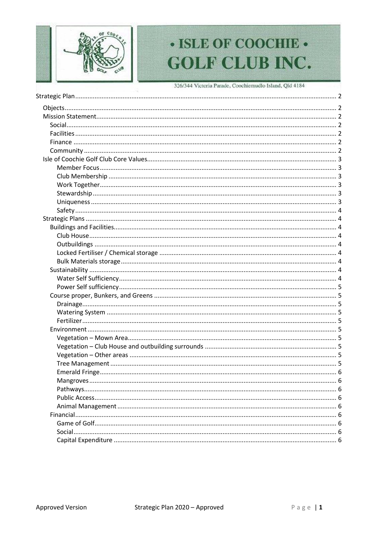

# · ISLE OF COOCHIE · **GOLF CLUB INC.**

326/344 Victoria Parade, Coochiemudlo Island, Qld 4184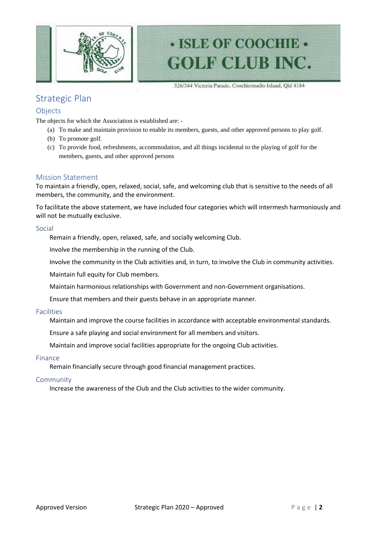

# · ISLE OF COOCHIE · **GOLF CLUB INC.**

326/344 Victoria Parade, Coochiemudlo Island, Qld 4184

# <span id="page-2-0"></span>Strategic Plan

### <span id="page-2-1"></span>Objects

The objects for which the Association is established are: -

- (a) To make and maintain provision to enable its members, guests, and other approved persons to play golf.
- (b) To promote golf.
- (c) To provide food, refreshments, accommodation, and all things incidental to the playing of golf for the members, guests, and other approved persons

#### <span id="page-2-2"></span>Mission Statement

To maintain a friendly, open, relaxed, social, safe, and welcoming club that is sensitive to the needs of all members, the community, and the environment.

To facilitate the above statement, we have included four categories which will intermesh harmoniously and will not be mutually exclusive.

#### <span id="page-2-3"></span>Social

Remain a friendly, open, relaxed, safe, and socially welcoming Club.

Involve the membership in the running of the Club.

Involve the community in the Club activities and, in turn, to involve the Club in community activities.

Maintain full equity for Club members.

Maintain harmonious relationships with Government and non-Government organisations.

Ensure that members and their guests behave in an appropriate manner.

#### <span id="page-2-4"></span>Facilities

Maintain and improve the course facilities in accordance with acceptable environmental standards.

Ensure a safe playing and social environment for all members and visitors.

Maintain and improve social facilities appropriate for the ongoing Club activities.

#### <span id="page-2-5"></span>Finance

Remain financially secure through good financial management practices.

#### <span id="page-2-6"></span>Community

Increase the awareness of the Club and the Club activities to the wider community.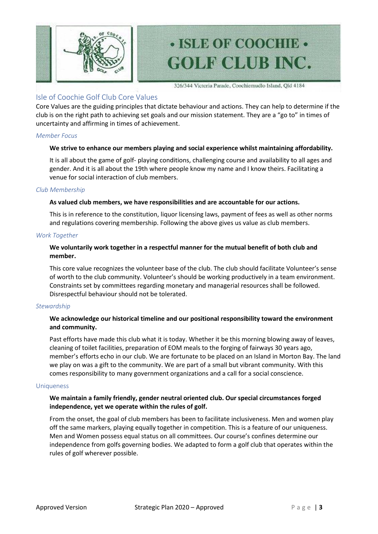

# • ISLE OF COOCHIE • **GOLF CLUB INC.**

326/344 Victoria Parade, Coochiemudlo Island, Qld 4184

## <span id="page-3-0"></span>Isle of Coochie Golf Club Core Values

Core Values are the guiding principles that dictate behaviour and actions. They can help to determine if the club is on the right path to achieving set goals and our mission statement. They are a "go to" in times of uncertainty and affirming in times of achievement.

### <span id="page-3-1"></span>*Member Focus*

#### **We strive to enhance our members playing and social experience whilst maintaining affordability.**

It is all about the game of golf- playing conditions, challenging course and availability to all ages and gender. And it is all about the 19th where people know my name and I know theirs. Facilitating a venue for social interaction of club members.

#### <span id="page-3-2"></span>*Club Membership*

#### **As valued club members, we have responsibilities and are accountable for our actions.**

This is in reference to the constitution, liquor licensing laws, payment of fees as well as other norms and regulations covering membership. Following the above gives us value as club members.

#### <span id="page-3-3"></span>*Work Together*

### **We voluntarily work together in a respectful manner for the mutual benefit of both club and member.**

This core value recognizes the volunteer base of the club. The club should facilitate Volunteer's sense of worth to the club community. Volunteer's should be working productively in a team environment. Constraints set by committees regarding monetary and managerial resources shall be followed. Disrespectful behaviour should not be tolerated.

#### <span id="page-3-4"></span>*Stewardship*

### **We acknowledge our historical timeline and our positional responsibility toward the environment and community.**

Past efforts have made this club what it is today. Whether it be this morning blowing away of leaves, cleaning of toilet facilities, preparation of EOM meals to the forging of fairways 30 years ago, member's efforts echo in our club. We are fortunate to be placed on an Island in Morton Bay. The land we play on was a gift to the community. We are part of a small but vibrant community. With this comes responsibility to many government organizations and a call for a social conscience.

#### <span id="page-3-5"></span>**Uniqueness**

#### **We maintain a family friendly, gender neutral oriented club. Our special circumstances forged independence, yet we operate within the rules of golf.**

From the onset, the goal of club members has been to facilitate inclusiveness. Men and women play off the same markers, playing equally together in competition. This is a feature of our uniqueness. Men and Women possess equal status on all committees. Our course's confines determine our independence from golfs governing bodies. We adapted to form a golf club that operates within the rules of golf wherever possible.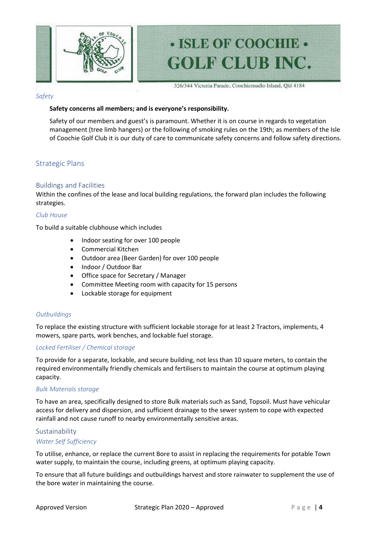

326/344 Victoria Parade, Coochiemudlo Island, Qld 4184

• ISLE OF COOCHIE •

**GOLF CLUB INC.** 

#### <span id="page-4-0"></span>*Safety*

#### **Safety concerns all members; and is everyone's responsibility.**

Safety of our members and guest's is paramount. Whether it is on course in regards to vegetation management (tree limb hangers) or the following of smoking rules on the 19th; as members of the Isle of Coochie Golf Club it is our duty of care to communicate safety concerns and follow safety directions.

## <span id="page-4-1"></span>Strategic Plans

#### <span id="page-4-2"></span>Buildings and Facilities

Within the confines of the lease and local building regulations, the forward plan includes the following strategies.

#### <span id="page-4-3"></span>*Club House*

To build a suitable clubhouse which includes

- Indoor seating for over 100 people
- Commercial Kitchen
- Outdoor area (Beer Garden) for over 100 people
- Indoor / Outdoor Bar
- Office space for Secretary / Manager
- Committee Meeting room with capacity for 15 persons
- Lockable storage for equipment

#### <span id="page-4-4"></span>*Outbuildings*

To replace the existing structure with sufficient lockable storage for at least 2 Tractors, implements, 4 mowers, spare parts, work benches, and lockable fuel storage.

#### <span id="page-4-5"></span>*Locked Fertiliser / Chemical storage*

To provide for a separate, lockable, and secure building, not less than 10 square meters, to contain the required environmentally friendly chemicals and fertilisers to maintain the course at optimum playing capacity.

#### <span id="page-4-6"></span>*Bulk Materials storage*

To have an area, specifically designed to store Bulk materials such as Sand, Topsoil. Must have vehicular access for delivery and dispersion, and sufficient drainage to the sewer system to cope with expected rainfall and not cause runoff to nearby environmentally sensitive areas.

#### <span id="page-4-7"></span>Sustainability

#### <span id="page-4-8"></span>*Water Self Sufficiency*

To utilise, enhance, or replace the current Bore to assist in replacing the requirements for potable Town water supply, to maintain the course, including greens, at optimum playing capacity.

To ensure that all future buildings and outbuildings harvest and store rainwater to supplement the use of the bore water in maintaining the course.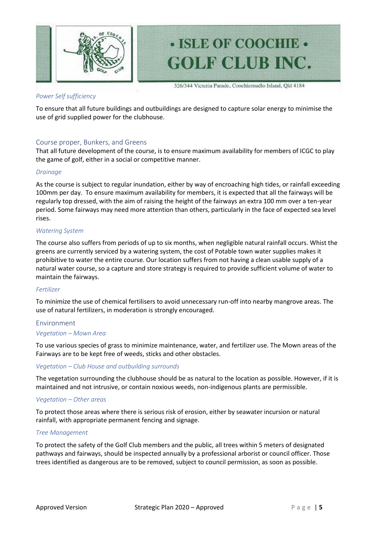

# • ISLE OF COOCHIE • **GOLF CLUB INC.**

326/344 Victoria Parade, Coochiemudlo Island, Qld 4184

### <span id="page-5-0"></span>*Power Self sufficiency*

To ensure that all future buildings and outbuildings are designed to capture solar energy to minimise the use of grid supplied power for the clubhouse.

### <span id="page-5-1"></span>Course proper, Bunkers, and Greens

That all future development of the course, is to ensure maximum availability for members of ICGC to play the game of golf, either in a social or competitive manner.

### <span id="page-5-2"></span>*Drainage*

As the course is subject to regular inundation, either by way of encroaching high tides, or rainfall exceeding 100mm per day. To ensure maximum availability for members, it is expected that all the fairways will be regularly top dressed, with the aim of raising the height of the fairways an extra 100 mm over a ten-year period. Some fairways may need more attention than others, particularly in the face of expected sea level rises.

#### <span id="page-5-3"></span>*Watering System*

The course also suffers from periods of up to six months, when negligible natural rainfall occurs. Whist the greens are currently serviced by a watering system, the cost of Potable town water supplies makes it prohibitive to water the entire course. Our location suffers from not having a clean usable supply of a natural water course, so a capture and store strategy is required to provide sufficient volume of water to maintain the fairways.

#### <span id="page-5-4"></span>*Fertilizer*

To minimize the use of chemical fertilisers to avoid unnecessary run-off into nearby mangrove areas. The use of natural fertilizers, in moderation is strongly encouraged.

# <span id="page-5-5"></span>Environment

#### <span id="page-5-6"></span>*Vegetation – Mown Area*

To use various species of grass to minimize maintenance, water, and fertilizer use. The Mown areas of the Fairways are to be kept free of weeds, sticks and other obstacles.

#### <span id="page-5-7"></span>*Vegetation – Club House and outbuilding surrounds*

The vegetation surrounding the clubhouse should be as natural to the location as possible. However, if it is maintained and not intrusive, or contain noxious weeds, non-indigenous plants are permissible.

#### <span id="page-5-8"></span>*Vegetation – Other areas*

To protect those areas where there is serious risk of erosion, either by seawater incursion or natural rainfall, with appropriate permanent fencing and signage.

#### <span id="page-5-9"></span>*Tree Management*

To protect the safety of the Golf Club members and the public, all trees within 5 meters of designated pathways and fairways, should be inspected annually by a professional arborist or council officer. Those trees identified as dangerous are to be removed, subject to council permission, as soon as possible.